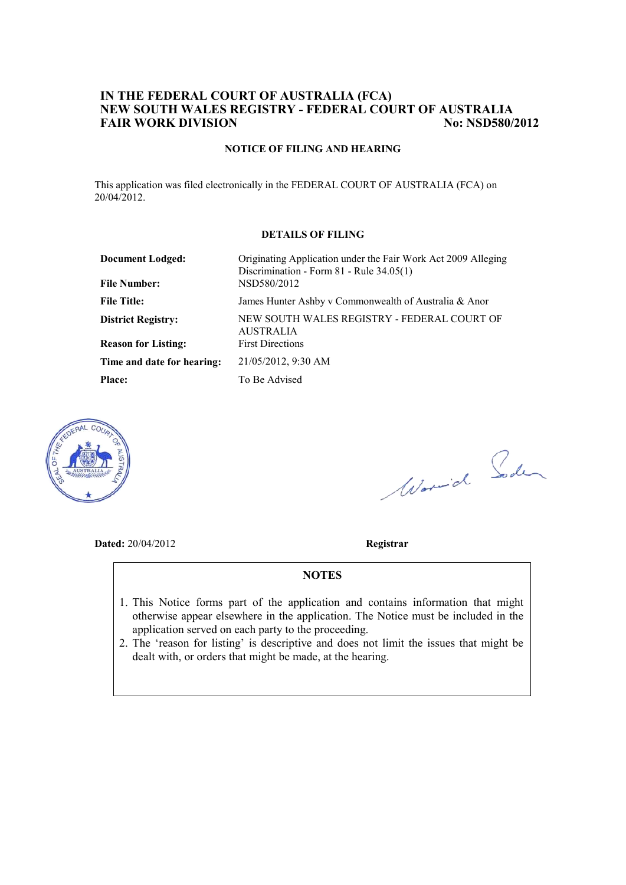### **IN THE FEDERAL COURT OF AUSTRALIA (FCA) NEW SOUTH WALES REGISTRY - FEDERAL COURT OF AUSTRALIA FAIR WORK DIVISION No: NSD580/2012**

#### **NOTICE OF FILING AND HEARING**

This application was filed electronically in the FEDERAL COURT OF AUSTRALIA (FCA) on 20/04/2012.

#### **DETAILS OF FILING**

| <b>Document Lodged:</b><br><b>File Number:</b> | Originating Application under the Fair Work Act 2009 Alleging<br>Discrimination - Form 81 - Rule 34.05(1)<br>NSD580/2012 |
|------------------------------------------------|--------------------------------------------------------------------------------------------------------------------------|
| <b>File Title:</b>                             | James Hunter Ashby v Commonwealth of Australia & Anor                                                                    |
| <b>District Registry:</b>                      | NEW SOUTH WALES REGISTRY - FEDERAL COURT OF<br><b>AUSTRALIA</b>                                                          |
| <b>Reason for Listing:</b>                     | <b>First Directions</b>                                                                                                  |
| Time and date for hearing:                     | 21/05/2012, 9:30 AM                                                                                                      |
| <b>Place:</b>                                  | To Be Advised                                                                                                            |



Worwich Soden

**Dated:** 20/04/2012 **Registrar**

#### **NOTES**

- 1. This Notice forms part of the application and contains information that might otherwise appear elsewhere in the application. The Notice must be included in the application served on each party to the proceeding.
- 2. The 'reason for listing' is descriptive and does not limit the issues that might be dealt with, or orders that might be made, at the hearing.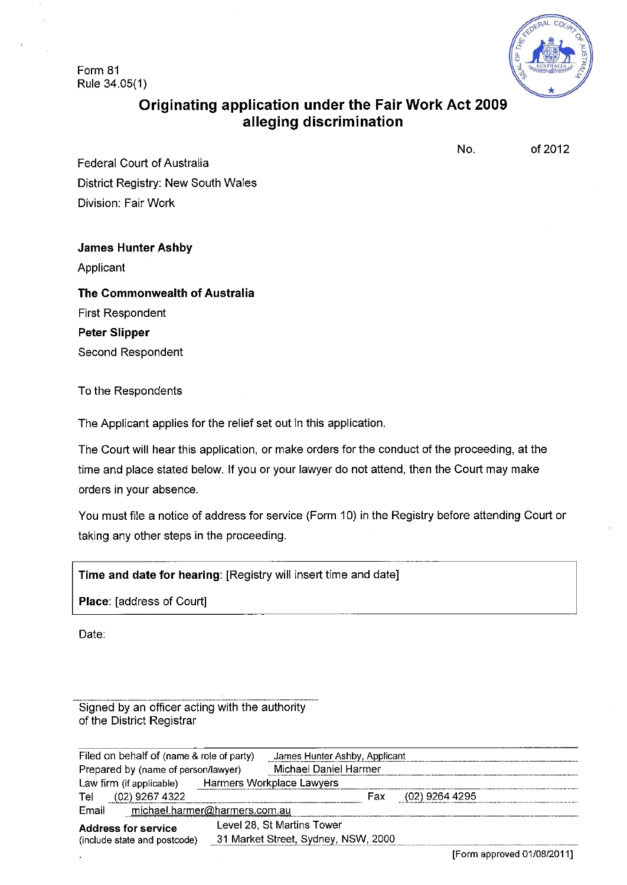Form 81 Rule 34.05(1)



# **Originating application under the Fair Work Act 2009 alleging discrimination**

No. of 2012

Federal Court of Australia District Registry: New South Wales Division: Fair Work

### **James Hunter Ashby**

Applicant

**The Commonwealth of Australia**  First Respondent **Peter Slipper**  Second Respondent

To the Respondents

The Applicant applies for the relief set out in this application.

The Court will hear this application, or make orders for the conduct of the proceeding, at the time and place stated below. If you or your lawyer do not attend, then the Court may make orders in your absence.

You must file a notice of address for service (Form 10) in the Registry before attending Court or taking any other steps in the proceeding.

**Time and date for hearing:** [Registry will insert time and date]

**Place:** [address of Court]

Date:

Signed by an officer acting with the authority of the District Registrar

| Filed on behalf of (name & role of party)                  | James Hunter Ashby, Applicant       |     |                |  |
|------------------------------------------------------------|-------------------------------------|-----|----------------|--|
| Prepared by (name of person/lawyer)                        | Michael Daniel Harmer               |     |                |  |
| Law firm (if applicable)                                   | Harmers Workplace Lawyers           |     |                |  |
| (02) 9267 4322<br>Tel                                      |                                     | Fax | (02) 9264 4295 |  |
| Email<br>michael.harmer@harmers.com.au                     |                                     |     |                |  |
| <b>Address for service</b><br>(include state and postcode) | Level 28, St Martins Tower          |     |                |  |
|                                                            | 31 Market Street, Sydney, NSW, 2000 |     |                |  |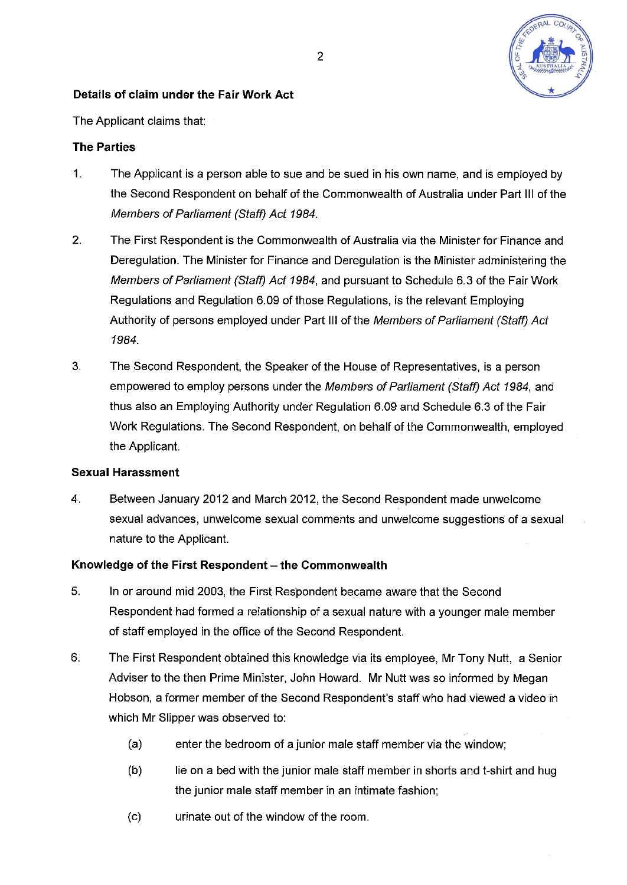

## **Details of claim under the Fair Work Act**

The Applicant claims that:

## **The Parties**

- 1. The Applicant is a person able to sue and be sued in his own name, and is employed by the Second Respondent on behalf of the Commonwealth of Australia under Part III of the *Members of Parliament (Staff) Act 1984.*
- *2.* The First Respondent is the Commonwealth of Australia via the Minister for Finance and Deregulation. The Minister for Finance and Deregulation is the Minister administering the *Members of Parliament (Staff) Act 1984,* and pursuant to Schedule 6.3 of the Fair Work Regulations and Regulation 6.09 of those Regulations, is the relevant Employing Authority of persons employed under Part III of the *Members of Parliament (Staff) Act 1984.*
- 3. The Second Respondent, the Speaker of the House of Representatives, is a person empowered to employ persons under the *Members of Parliament (Staff) Act 1984,* and thus also an Employing Authority under Regulation 6.09 and Schedule 6.3 of the Fair Work Regulations. The Second Respondent, on behalf of the Commonwealth, employed the Applicant.

### **Sexual Harassment**

4. Between January 2012 and March 2012, the Second Respondent made unwelcome sexual advances, unwelcome sexual comments and unwelcome suggestions of a sexual nature to the Applicant.

### Knowledge of the First Respondent - the Commonwealth

- 5. In or around mid 2003, the First Respondent became aware that the Second Respondent had formed a relationship of a sexual nature with a younger male member of staff employed in the office of the Second Respondent.
- 6. The First Respondent obtained this knowledge via its employee, Mr Tony Nutt, a Senior Adviser to the then Prime Minister, John Howard. Mr Nutt was so informed by Megan Hobson, a former member of the Second Respondent's staff who had viewed a video in which Mr Slipper was observed to:
	- (a) enter the bedroom of a junior male staff member via the window;
	- (b) lie on a bed with the junior male staff member in shorts and t-shirt and hug the junior male staff member in an intimate fashion;
	- (c) urinate out of the window of the room.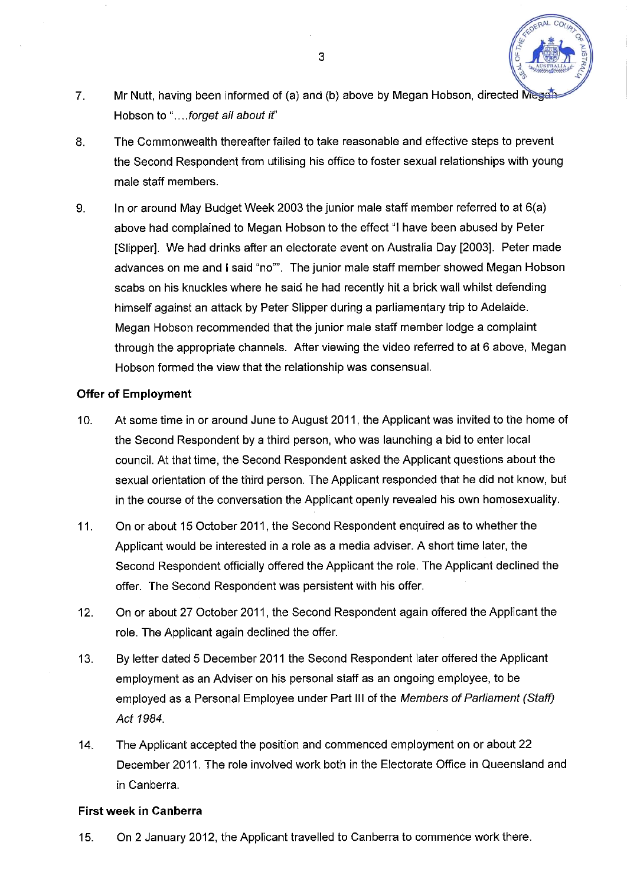- 7. Mr Nutt, having been informed of (a) and (b) above by Megan Hobson, directed Megan Hobson to "....forget all about if"
- 8. The Commonwealth thereafter failed to take reasonable and effective steps to prevent the Second Respondent from utilising his office to foster sexual relationships with young male staff members.
- 9. In or around May Budget Week 2003 the junior male staff member referred to at 6(a) above had complained to Megan Hobson to the effect "I have been abused by Peter [Slipper]. We had drinks after an electorate event on Australia Day [2003]. Peter made advances on me and I said "no"". The junior male staff member showed Megan Hobson scabs on his knuckles where he said he had recently hit a brick wall whilst defending himself against an attack by Peter Slipper during a parliamentary trip to Adelaide. Megan Hobson recommended that the junior male staff member lodge a complaint through the appropriate channels. After viewing the video referred to at 6 above, Megan Hobson formed the view that the relationship was consensual.

#### **Offer of Employment**

- 10. At some time in or around June to August 2011, the Applicant was invited to the home of the Second Respondent by a third person, who was launching a bid to enter local council. At that time, the Second Respondent asked the Applicant questions about the sexual orientation of the third person. The Applicant responded that he did not know, but in the course of the conversation the Applicant openly revealed his own homosexuality.
- 11. On or about 15 October 2011, the Second Respondent enquired as to whether the Applicant would be interested in a role as a media adviser. A short time later, the Second Respondent officially offered the Applicant the role. The Applicant declined the offer. The Second Respondent was persistent with his offer.
- 12. On or about 27 October 2011, the Second Respondent again offered the Applicant the role. The Applicant again declined the offer.
- 13. By letter dated 5 December 2011 the Second Respondent later offered the Applicant employment as an Adviser on his personal staff as an ongoing employee, to be employed as a Personal Employee under Part III of the *Members of Parliament (Staff) Act 1984.*
- 14. The Applicant accepted the position and commenced employment on or about 22 December 2011. The role involved work both in the Electorate Office in Queensland and in Canberra.

### **First week in Canberra**

15. On 2 January 2012, the Applicant travelled to Canberra to commence work there.

3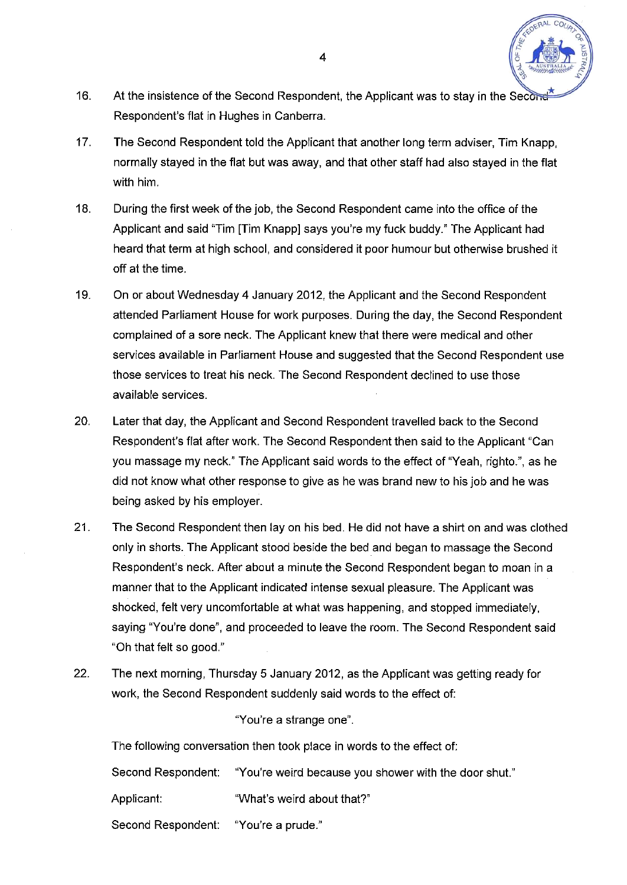

- 16. At the insistence of the Second Respondent, the Applicant was to stay in the Second Respondent's flat in Hughes in Canberra.
- 17. The Second Respondent told the Applicant that another long term adviser, Tim Knapp, normally stayed in the flat but was away, and that other staff had also stayed in the flat with him.
- 18. During the first week of the job, the Second Respondent came into the office of the Applicant and said "Tim [Tim Knapp] says you're my fuck buddy." The Applicant had heard that term at high school, and considered it poor humour but otherwise brushed it off at the time.
- 19. On or about Wednesday 4 January 2012, the Applicant and the Second Respondent attended Parliament House for work purposes. During the day, the Second Respondent complained of a sore neck. The Applicant knew that there were medical and other services available in Parliament House and suggested that the Second Respondent use those services to treat his neck. The Second Respondent declined to use those available services.
- 20. Later that day, the Applicant and Second Respondent travelled back to the Second Respondent's flat after work. The Second Respondent then said to the Applicant "Can you massage my neck." The Applicant said words to the effect of "Yeah, righto.", as he did not know what other response to give as he was brand new to his job and he was being asked by his employer.
- 21. The Second Respondent then lay on his bed. He did not have a shirt on and was clothed only in shorts. The Applicant stood beside the bed and began to massage the Second Respondent's neck. After about a minute the Second Respondent began to moan in a manner that to the Applicant indicated intense sexual pleasure. The Applicant was shocked, felt very uncomfortable at what was happening, and stopped immediately, saying "You're done", and proceeded to leave the room. The Second Respondent said "Oh that felt so good."
- 22. The next morning, Thursday 5 January 2012, as the Applicant was getting ready for work, the Second Respondent suddenly said words to the effect of:

### "You're a strange one".

The following conversation then took place in words to the effect of:

|                                      | Second Respondent: "You're weird because you shower with the door shut." |
|--------------------------------------|--------------------------------------------------------------------------|
| Applicant: l                         | "What's weird about that?"                                               |
| Second Respondent: "You're a prude." |                                                                          |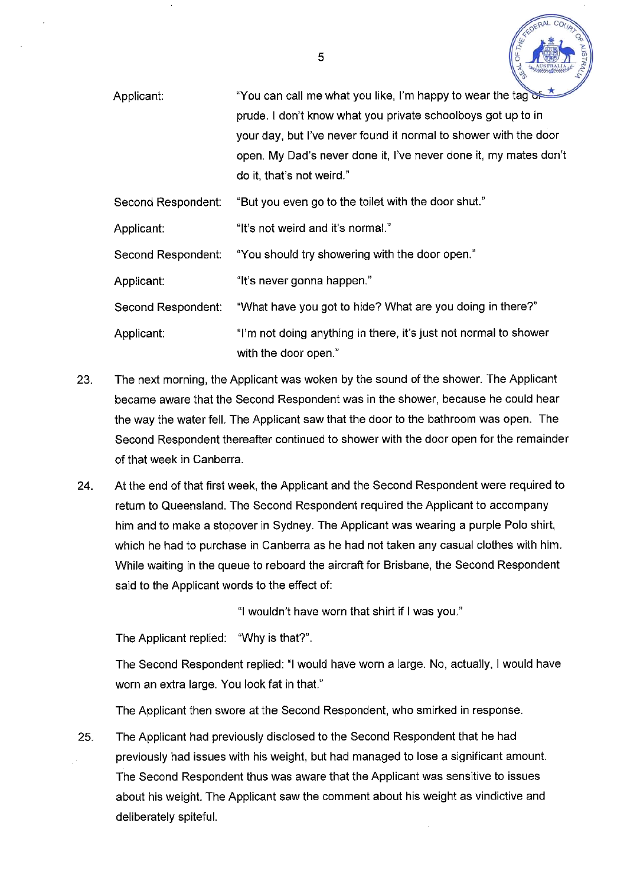

| Applicant:         | "You can call me what you like, I'm happy to wear the tag                                |  |  |
|--------------------|------------------------------------------------------------------------------------------|--|--|
|                    | prude. I don't know what you private schoolboys got up to in                             |  |  |
|                    | your day, but I've never found it normal to shower with the door                         |  |  |
|                    | open. My Dad's never done it, I've never done it, my mates don't                         |  |  |
|                    | do it, that's not weird."                                                                |  |  |
| Second Respondent: | "But you even go to the toilet with the door shut."                                      |  |  |
| Applicant:         | "It's not weird and it's normal."                                                        |  |  |
| Second Respondent: | "You should try showering with the door open."                                           |  |  |
| Applicant:         | "It's never gonna happen."                                                               |  |  |
| Second Respondent: | "What have you got to hide? What are you doing in there?"                                |  |  |
| Applicant:         | "I'm not doing anything in there, it's just not normal to shower<br>with the door open." |  |  |

- 23. The next morning, the Applicant was woken by the sound of the shower. The Applicant became aware that the Second Respondent was in the shower, because he could hear the way the water fell. The Applicant saw that the door to the bathroom was open. The Second Respondent thereafter continued to shower with the door open for the remainder of that week in Canberra.
- 24. At the end of that first week, the Applicant and the Second Respondent were required to return to Queensland. The Second Respondent required the Applicant to accompany him and to make a stopover in Sydney. The Applicant was wearing a purple Polo shirt, which he had to purchase in Canberra as he had not taken any casual clothes with him. While waiting in the queue to reboard the aircraft for Brisbane, the Second Respondent said to the Applicant words to the effect of:

"I wouldn't have worn that shirt if I was you."

The Applicant replied: "Why is that?".

The Second Respondent replied: "I would have worn a large. No, actually, I would have worn an extra large. You look fat in that."

The Applicant then swore at the Second Respondent, who smirked in response.

25. The Applicant had previously disclosed to the Second Respondent that he had previously had issues with his weight, but had managed to lose a significant amount. The Second Respondent thus was aware that the Applicant was sensitive to issues about his weight. The Applicant saw the comment about his weight as vindictive and deliberately spiteful.

5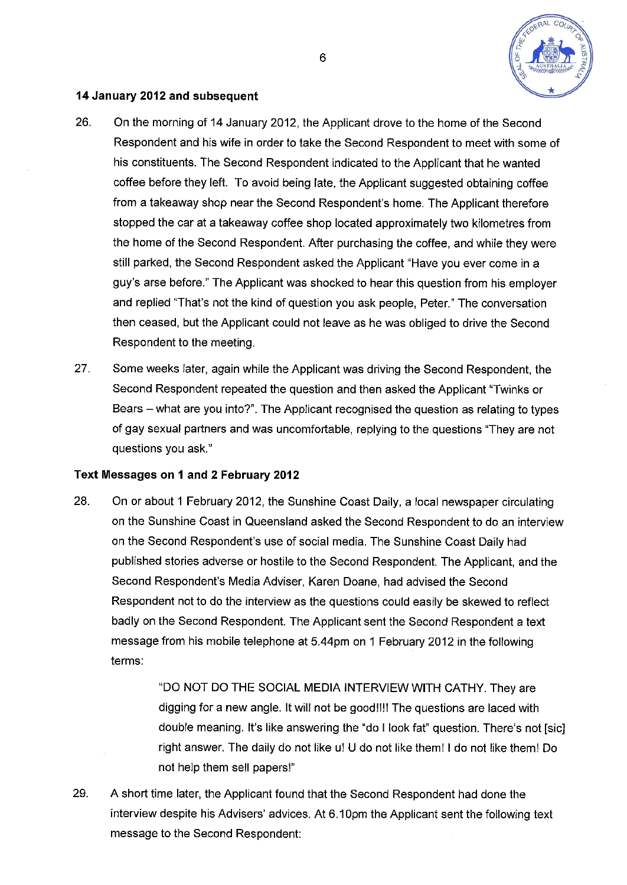

#### **14 January 2012 and subsequent**

- 26. On the morning of 14 January 2012, the Applicant drove to the home of the Second Respondent and his wife in order to take the Second Respondent to meet with some of his constituents. The Second Respondent indicated to the Applicant that he wanted coffee before they left. To avoid being late, the Applicant suggested obtaining coffee from a takeaway shop near the Second Respondent's home. The Applicant therefore stopped the car at a takeaway coffee shop located approximately two kilometres from the home of the Second Respondent. After purchasing the coffee, and while they were still parked, the Second Respondent asked the Applicant "Have you ever come in a guy's arse before." The Applicant was shocked to hear this question from his employer and replied "That's not the kind of question you ask people, Peter." The conversation then ceased, but the Applicant could not leave as he was obliged to drive the Second Respondent to the meeting.
- 27. Some weeks later, again while the Applicant was driving the Second Respondent, the Second Respondent repeated the question and then asked the Applicant "Twinks or Bears - what are you into?". The Applicant recognised the question as relating to types of gay sexual partners and was uncomfortable, replying to the questions "They are not questions you ask."

#### **Text Messages on 1 and 2 February 2012**

28. On or about 1 February 2012, the Sunshine Coast Daily, a local newspaper circulating on the Sunshine Coast in Queensland asked the Second Respondent to do an interview on the Second Respondent's use of social media. The Sunshine Coast Daily had published stories adverse or hostile to the Second Respondent The Applicant, and the Second Respondent's Media Adviser, Karen Doane, had advised the Second Respondent not to do the interview as the questions could easily be skewed to reflect badly on the Second Respondent. The Applicant sent the Second Respondent a text message from his mobile telephone at 5.44pm on 1 February 2012 in the following terms:

> "DO NOT DO THE SOCIAL MEDIA INTERVIEW WITH CATHY. They are digging for a new angle. It will not be good!!!! The questions are laced with double meaning. It's like answering the "do I look fat" question. There's not [sic] right answer. The daily do not like u! U do not like them! I do not like them! Do not help them sell papers!"

29. A short time later, the Applicant found that the Second Respondent had done the interview despite his Advisers' advices. At 6.10pm the Applicant sent the following text message to the Second Respondent: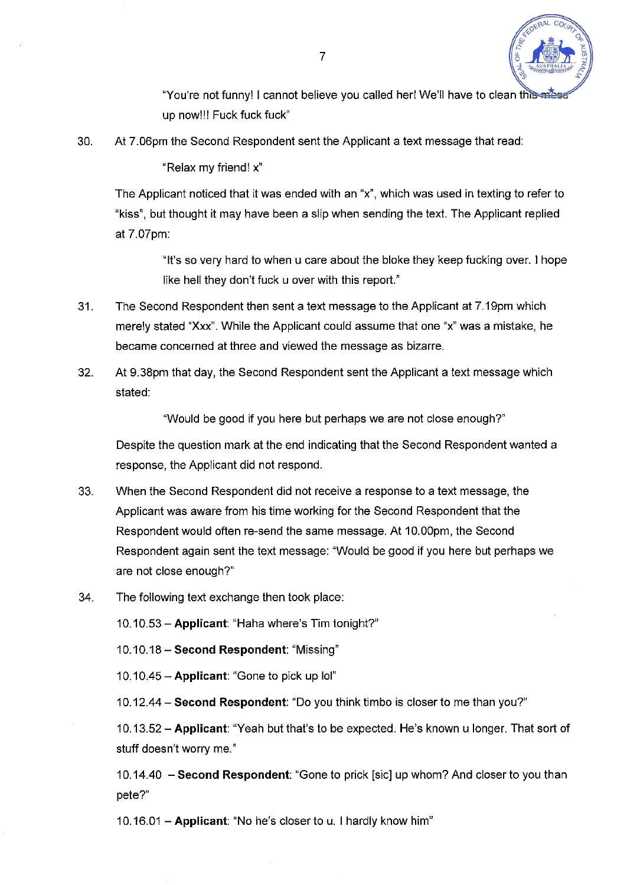

"You're not funny! I cannot believe you called her! We'll have to clean this up now!!! Fuck fuck fuck"

30. At 7.06pm the Second Respondent sent the Applicant a text message that read:

"Relax my friend! x"

The Applicant noticed that it was ended with an "x", which was used in texting to refer to "kiss", but thought it may have been a slip when sending the text. The Applicant replied at 7.07pm:

> "It's so very hard to when u care about the bloke they keep fucking over. 1 hope like hell they don't fuck u over with this report."

- 31. The Second Respondent then sent a text message to the Applicant at 7.19pm which merely stated "Xxx". While the Applicant could assume that one "x" was a mistake, he became concerned at three and viewed the message as bizarre.
- 32. At 9.38pm that day, the Second Respondent sent the Applicant a text message which stated:

"Would be good if you here but perhaps we are not close enough?"

Despite the question mark at the end indicating that the Second Respondent wanted a response, the Applicant did not respond.

- 33. When the Second Respondent did not receive a response to a text message, the Applicant was aware from his time working for the Second Respondent that the Respondent would often re-send the same message. At 10.00pm, the Second Respondent again sent the text message: "Would be good if you here but perhaps we are not close enough?"
- 34. The following text exchange then took place:

10.10.53-**Applicant:** "Haha where's Tim tonight?"

10.10.18 - **Second Respondent:** "Missing"

10.10.45 - **Applicant:** "Gone to pick up lol"

10.12.44 - **Second Respondent:** "Do you think timbo is closer to me than you?"

10.13.52 - **Applicant:** "Yeah but that's to be expected. He's known u longer. That sort of stuff doesn't worry me."

10.14.40 - **Second Respondent:** "Gone to prick [sic] up whom? And closer to you than pete?"

10.16.01 - **Applicant:** "No he's closer to u. I hardly know him"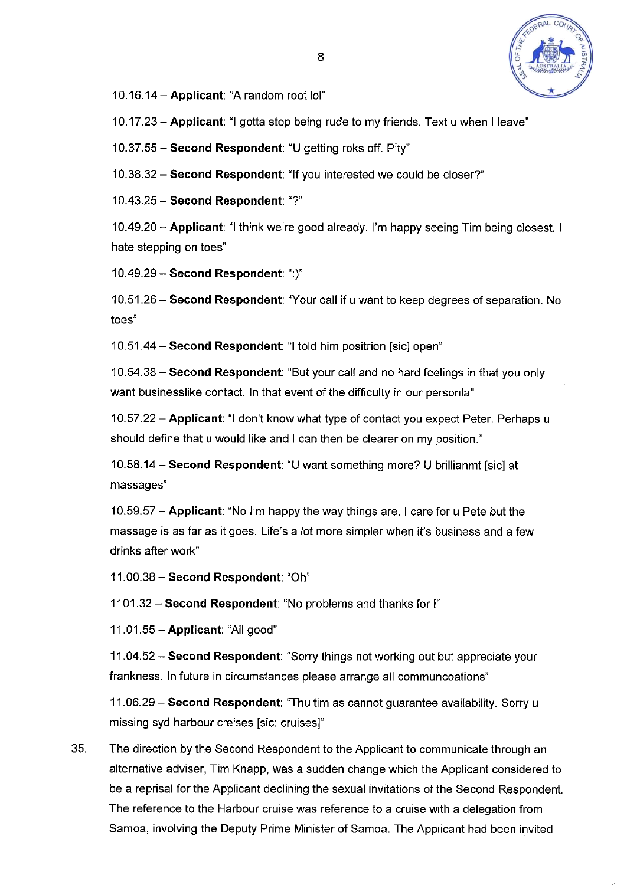

10.16.14-**Applicant:** "A random root lol"

10.17.23 - **Applicant:** "I gotta stop being rude to my friends. Text u when I leave"

10.37.55 - **Second Respondent:** "U getting roks off. Pity"

10.38.32 - **Second Respondent:** "If you interested we could be closer?"

10.43.25**-Second Respondent:"?"** 

10.49.20 - **Applicant:** "I think we're good already. I'm happy seeing Tim being closest. I hate stepping on toes"

10.49.29**-Second Respondent:":)"** 

10.51.26 - **Second Respondent:** "Your call if u want to keep degrees of separation. No toes"

10.51.44**-Second Respondent:** "I told him positrion [sic] open"

10.54.38 - **Second Respondent:** "But your call and no hard feelings in that you only want businesslike contact. In that event of the difficulty in our personla"

10.57.22 - **Applicant:** "I don't know what type of contact you expect Peter. Perhaps u should define that u would like and I can then be clearer on my position."

10.58.14 - **Second Respondent:** "U want something more? U brillianmt [sic] at massages"

10.59.57 - **Applicant:** "No I'm happy the way things are. I care for u Pete but the massage is as far as it goes. Life's a lot more simpler when it's business and a few drinks after work"

11.00.38 - **Second Respondent:** "Oh"

1101.32**-Second Respondent:** "No problems and thanks for I"

11.01.55 - **Applicant:** "All good"

11.04.52 - **Second Respondent:** "Sorry things not working out but appreciate your frankness. In future in circumstances please arrange all communcoations"

11.06.29 - **Second Respondent:** "Thu tim as cannot guarantee availability. Sorry u missing syd harbour creises [sic: cruises]"

35. The direction by the Second Respondent to the Applicant to communicate through an alternative adviser, Tim Knapp, was a sudden change which the Applicant considered to be a reprisal for the Applicant declining the sexual invitations of the Second Respondent. The reference to the Harbour cruise was reference to a cruise with a delegation from Samoa, involving the Deputy Prime Minister of Samoa. The Applicant had been invited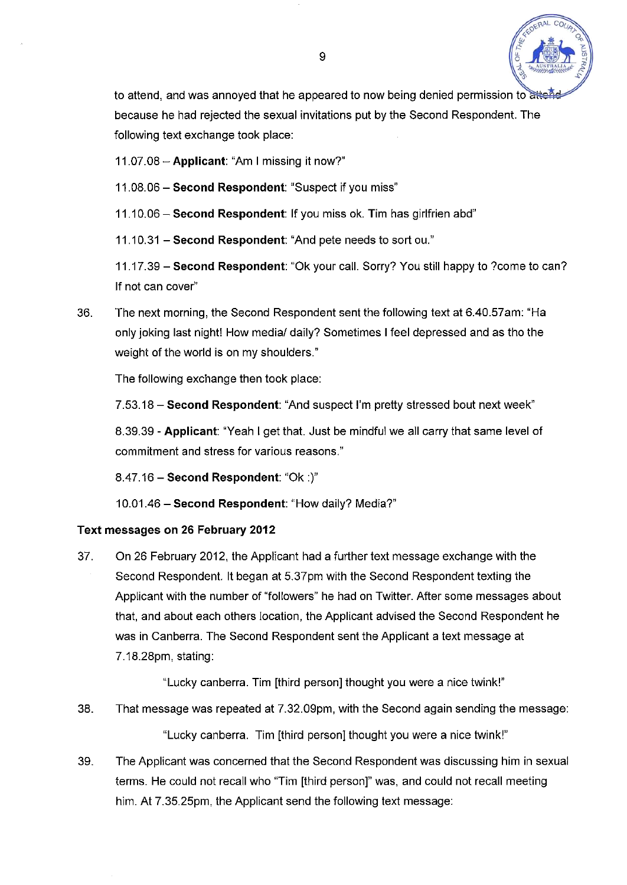

to attend, and was annoyed that he appeared to now being denied permission to attend because he had rejected the sexual invitations put by the Second Respondent. The following text exchange took place:

11.07.08 - **Applicant:** "Am I missing it now?"

11.08.06 - **Second Respondent:** "Suspect if you miss"

11.10.06 - **Second Respondent:** If you miss ok. Tim has girlfrien abd"

11.10.31 - **Second Respondent:** "And pete needs to sortou."

11.17.39 - **Second Respondent:** "Ok your call. Sorry? You still happy to ?come to can? If not can cover"

36. The next morning, the Second Respondent sent the following text at 6.40.57am: "Ha only joking last night! How media/ daily? Sometimes I feel depressed and as tho the weight of the world is on my shoulders."

The following exchange then took place:

7.53.18 - **Second Respondent:** "And suspect I'm pretty stressed bout next week"

8.39.39 - **Applicant:** "Yeah I get that. Just be mindful we all carry that same level of commitment and stress for various reasons."

8.47.16 - **Second Respondent:** "Ok :)"

10.01.46 - **Second Respondent:** "How daily? Media?"

# **Text messages on 26 February 2012**

37. On 26 February 2012, the Applicant had a further text message exchange with the Second Respondent. It began at 5.37pm with the Second Respondent texting the Applicant with the number of "followers" he had on Twitter. After some messages about that, and about each others location, the Applicant advised the Second Respondent he was in Canberra. The Second Respondent sent the Applicant a text message at 7.18.28pm, stating:

"Lucky Canberra. Tim [third person] thought you were a nice twink!"

38. That message was repeated at 7.32.09pm, with the Second again sending the message:

"Lucky Canberra. Tim [third person] thought you were a nice twink!"

39. The Applicant was concerned that the Second Respondent was discussing him in sexual terms. He could not recall who "Tim [third person]" was, and could not recall meeting him. At 7.35.25pm, the Applicant send the following text message: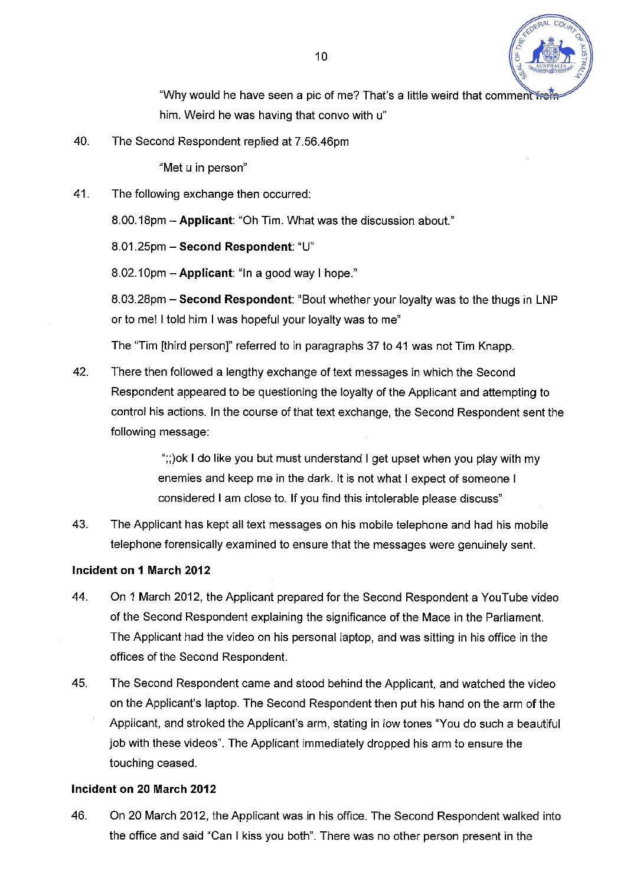

"Why would he have seen a pic of me? That's a little weird that comment from him. Weird he was having that convo with u"

40. The Second Respondent replied at 7.56.46pm

"Met u in person"

41. The following exchange then occurred:

8.00.18pm - **Applicant:** "Oh Tim. What was the discussion about."

8.01.25pm - **Second Respondent:** "U"

8.02.10pm - **Applicant:** "In a good way I hope."

8.03.28pm - **Second Respondent:** "Bout whether your loyalty was to the thugs in LNP or to me! I told him I was hopeful your loyalty was to me"

The "Tim [third person]" referred to in paragraphs 37 to 41 was not Tim Knapp.

42. There then followed a lengthy exchange of text messages in which the Second Respondent appeared to be questioning the loyalty of the Applicant and attempting to control his actions. In the course of that text exchange, the Second Respondent sent the following message:

> ";;)ok I do like you but must understand I get upset when you play with my enemies and keep me in the dark. It is not what I expect of someone I considered I am close to. If you find this intolerable please discuss"

43. The Applicant has kept all text messages on his mobile telephone and had his mobile telephone forensically examined to ensure that the messages were genuinely sent.

### **Incident on 1 March 2012**

- 44. On 1 March 2012, the Applicant prepared for the Second Respondent a YouTube video of the Second Respondent explaining the significance of the Mace in the Parliament. The Applicant had the video on his personal laptop, and was sitting in his office in the offices of the Second Respondent.
- 45. The Second Respondent came and stood behind the Applicant, and watched the video on the Applicant's laptop. The Second Respondent then put his hand on the arm of the Applicant, and stroked the Applicant's arm, stating in low tones "You do such a beautiful job with these videos". The Applicant immediately dropped his arm to ensure the touching ceased.

### **Incident on 20 March 2012**

46. On 20 March 2012, the Applicant was in his office. The Second Respondent walked into the office and said "Can I kiss you both". There was no other person present in the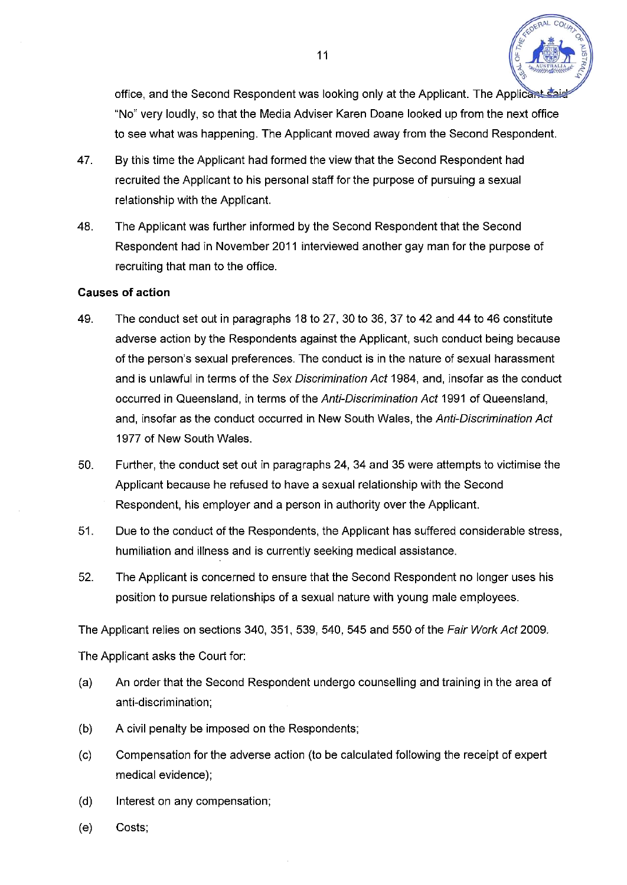

office, and the Second Respondent was looking only at the Applicant. The Applicant "No" very loudly, so that the Media Adviser Karen Doane looked up from the next office to see what was happening. The Applicant moved away from the Second Respondent.

- 47. By this time the Applicant had formed the view that the Second Respondent had recruited the Applicant to his personal staff for the purpose of pursuing a sexual relationship with the Applicant.
- 48. The Applicant was further informed by the Second Respondent that the Second Respondent had in November 2011 interviewed another gay man for the purpose of recruiting that man to the office.

#### **Causes of action**

- 49. The conduct set out in paragraphs 18 to 27, 30 to 36, 37 to 42 and 44 to 46 constitute adverse action by the Respondents against the Applicant, such conduct being because of the person's sexual preferences. The conduct is in the nature of sexual harassment and is unlawful in terms of the *Sex Discrimination Act* 1984, and, insofar as the conduct occurred in Queensland, in terms of the *Anti-Discrimination Act* 1991 of Queensland, and, insofar as the conduct occurred in New South Wales, the *Anti-Discrimination Act*  1977 of New South Wales.
- 50. Further, the conduct set out in paragraphs 24, 34 and 35 were attempts to victimise the Applicant because he refused to have a sexual relationship with the Second Respondent, his employer and a person in authority over the Applicant.
- 51. Due to the conduct of the Respondents, the Applicant has suffered considerable stress, humiliation and illness and is currently seeking medical assistance.
- 52. The Applicant is concerned to ensure that the Second Respondent no longer uses his position to pursue relationships of a sexual nature with young male employees.

The Applicant relies on sections 340, 351, 539, 540, 545 and 550 of the *Fair Work Act* 2009.

The Applicant asks the Court for:

- (a) An order that the Second Respondent undergo counselling and training in the area of anti-discrimination;
- (b) A civil penalty be imposed on the Respondents;
- (c) Compensation for the adverse action (to be calculated following the receipt of expert medical evidence);
- (d) Interest on any compensation;
- (e) Costs;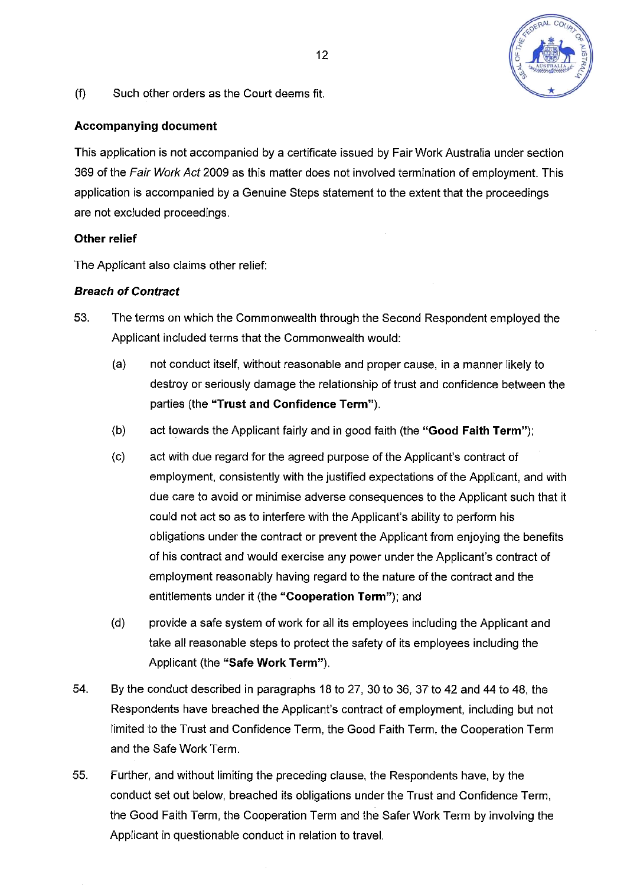

(f) Such other orders as the Court deems fit.

### **Accompanying document**

This application is not accompanied by a certificate issued by Fair Work Australia under section 369 of the *Fair Work Act* 2009 as this matter does not involved termination of employment. This application is accompanied by a Genuine Steps statement to the extent that the proceedings are not excluded proceedings.

### **Other relief**

The Applicant also claims other relief:

### *Breach of Contract*

- 53. The terms on which the Commonwealth through the Second Respondent employed the Applicant included terms that the Commonwealth would:
	- (a) not conduct itself, without reasonable and proper cause, in a manner likely to destroy or seriously damage the relationship of trust and confidence between the parties (the **"Trust and Confidence Term").**
	- (b) act towards the Applicant fairly and in good faith (the **"Good Faith Term");**
	- (c) act with due regard for the agreed purpose of the Applicant's contract of employment, consistently with the justified expectations of the Applicant, and with due care to avoid or minimise adverse consequences to the Applicant such that it could not act so as to interfere with the Applicant's ability to perform his obligations under the contract or prevent the Applicant from enjoying the benefits of his contract and would exercise any power under the Applicant's contract of employment reasonably having regard to the nature of the contract and the entitlements under it (the **"Cooperation Term");** and
	- (d) provide a safe system of work for all its employees including the Applicant and take all reasonable steps to protect the safety of its employees including the Applicant (the **"Safe Work Term").**
- 54. By the conduct described in paragraphs 18 to 27, 30 to 36, 37 to 42 and 44 to 48, the Respondents have breached the Applicant's contract of employment, including but not limited to the Trust and Confidence Term, the Good Faith Term, the Cooperation Term and the Safe Work Term.
- 55. Further, and without limiting the preceding clause, the Respondents have, by the conduct set out below, breached its obligations under the Trust and Confidence Term, the Good Faith Term, the Cooperation Term and the Safer Work Term by involving the Applicant in questionable conduct in relation to travel.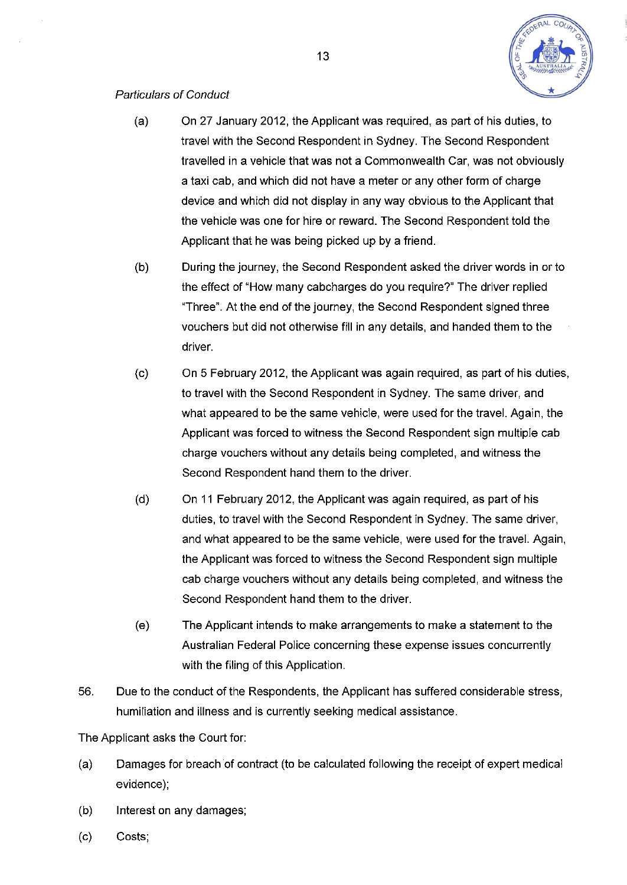

### *Particulars of Conduct*

- (a) On 27 January 2012, the Applicant was required, as part of his duties, to travel with the Second Respondent in Sydney. The Second Respondent travelled in a vehicle that was not a Commonwealth Car, was not obviously a taxi cab, and which did not have a meter or any other form of charge device and which did not display in any way obvious to the Applicant that the vehicle was one for hire or reward. The Second Respondent told the Applicant that he was being picked up by a friend.
- (b) During the journey, the Second Respondent asked the driver words in or to the effect of "How many cabcharges do you require?" The driver replied "Three". At the end of the journey, the Second Respondent signed three vouchers but did not otherwise fill in any details, and handed them to the driver.
- (c) On 5 February 2012, the Applicant was again required, as part of his duties, to travel with the Second Respondent in Sydney. The same driver, and what appeared to be the same vehicle, were used for the travel. Again, the Applicant was forced to witness the Second Respondent sign multiple cab charge vouchers without any details being completed, and witness the Second Respondent hand them to the driver.
- (d) On 11 February 2012, the Applicant was again required, as part of his duties, to travel with the Second Respondent in Sydney. The same driver, and what appeared to be the same vehicle, were used for the travel. Again, the Applicant was forced to witness the Second Respondent sign multiple cab charge vouchers without any details being completed, and witness the Second Respondent hand them to the driver.
- (e) The Applicant intends to make arrangements to make a statement to the Australian Federal Police concerning these expense issues concurrently with the filing of this Application.
- 56. Due to the conduct of the Respondents, the Applicant has suffered considerable stress, humiliation and illness and is currently seeking medical assistance.

The Applicant asks the Court for:

- (a) Damages for breach of contract (to be calculated following the receipt of expert medical evidence);
- (b) Interest on any damages;
- (c) Costs;